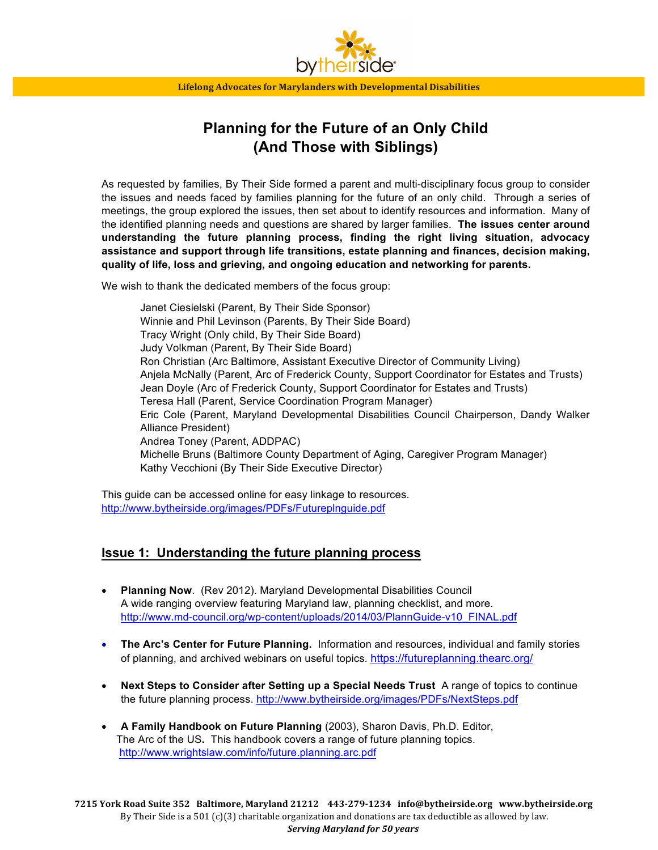

# **Planning for the Future of an Only Child (And Those with Siblings)**

As requested by families, By Their Side formed a parent and multi-disciplinary focus group to consider the issues and needs faced by families planning for the future of an only child. Through a series of meetings, the group explored the issues, then set about to identify resources and information. Many of the identified planning needs and questions are shared by larger families. **The issues center around understanding the future planning process, finding the right living situation, advocacy assistance and support through life transitions, estate planning and finances, decision making, quality of life, loss and grieving, and ongoing education and networking for parents.**

We wish to thank the dedicated members of the focus group:

Janet Ciesielski (Parent, By Their Side Sponsor) Winnie and Phil Levinson (Parents, By Their Side Board) Tracy Wright (Only child, By Their Side Board) Judy Volkman (Parent, By Their Side Board) Ron Christian (Arc Baltimore, Assistant Executive Director of Community Living) Anjela McNally (Parent, Arc of Frederick County, Support Coordinator for Estates and Trusts) Jean Doyle (Arc of Frederick County, Support Coordinator for Estates and Trusts) Teresa Hall (Parent, Service Coordination Program Manager) Eric Cole (Parent, Maryland Developmental Disabilities Council Chairperson, Dandy Walker Alliance President) Andrea Toney (Parent, ADDPAC) Michelle Bruns (Baltimore County Department of Aging, Caregiver Program Manager) Kathy Vecchioni (By Their Side Executive Director)

This guide can be accessed online for easy linkage to resources. http://www.bytheirside.org/images/PDFs/Futureplnguide.pdf

#### **Issue 1: Understanding the future planning process**

- **Planning Now**. (Rev 2012). Maryland Developmental Disabilities Council A wide ranging overview featuring Maryland law, planning checklist, and more. http://www.md-council.org/wp-content/uploads/2014/03/PlannGuide-v10\_FINAL.pdf
- **The Arc's Center for Future Planning.** Information and resources, individual and family stories of planning, and archived webinars on useful topics. https://futureplanning.thearc.org/
- **Next Steps to Consider after Setting up a Special Needs Trust** A range of topics to continue the future planning process. http://www.bytheirside.org/images/PDFs/NextSteps.pdf
- **A Family Handbook on Future Planning** (2003), Sharon Davis, Ph.D. Editor, The Arc of the US**.** This handbook covers a range of future planning topics. http://www.wrightslaw.com/info/future.planning.arc.pdf

**7215 York Road Suite 352 Baltimore, Maryland 21212 443-279-1234 info@bytheirside.org www.bytheirside.org** By Their Side is a 501  $(c)(3)$  charitable organization and donations are tax deductible as allowed by law. **Serving Maryland for 50 years**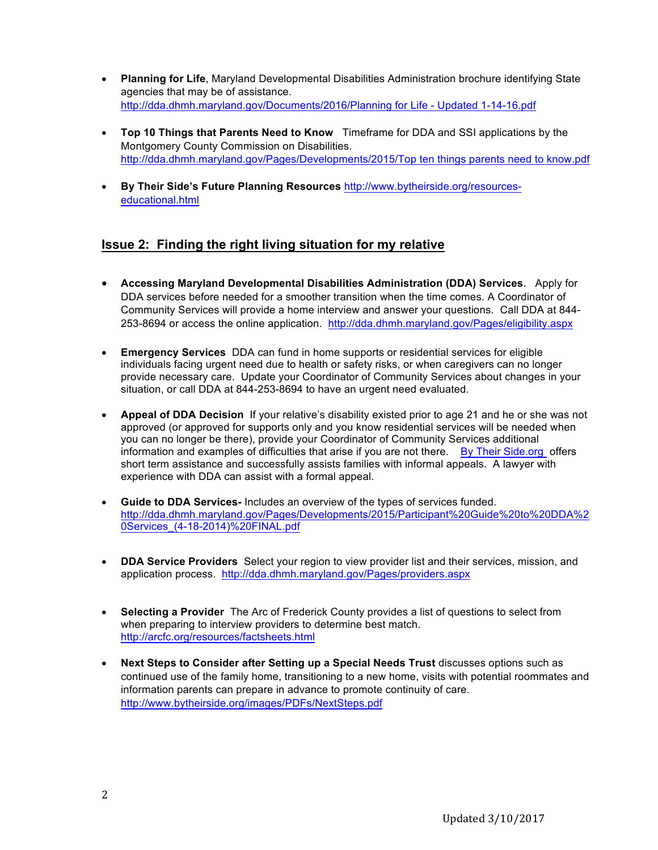- **Planning for Life**, Maryland Developmental Disabilities Administration brochure identifying State agencies that may be of assistance. http://dda.dhmh.maryland.gov/Documents/2016/Planning for Life - Updated 1-14-16.pdf
- **Top 10 Things that Parents Need to Know** Timeframe for DDA and SSI applications by the Montgomery County Commission on Disabilities. http://dda.dhmh.maryland.gov/Pages/Developments/2015/Top ten things parents need to know.pdf
- **By Their Side's Future Planning Resources** http://www.bytheirside.org/resourceseducational.html

# **Issue 2: Finding the right living situation for my relative**

- **Accessing Maryland Developmental Disabilities Administration (DDA) Services**. Apply for DDA services before needed for a smoother transition when the time comes. A Coordinator of Community Services will provide a home interview and answer your questions. Call DDA at 844- 253-8694 or access the online application. http://dda.dhmh.maryland.gov/Pages/eligibility.aspx
- **Emergency Services** DDA can fund in home supports or residential services for eligible individuals facing urgent need due to health or safety risks, or when caregivers can no longer provide necessary care. Update your Coordinator of Community Services about changes in your situation, or call DDA at 844-253-8694 to have an urgent need evaluated.
- **Appeal of DDA Decision** If your relative's disability existed prior to age 21 and he or she was not approved (or approved for supports only and you know residential services will be needed when you can no longer be there), provide your Coordinator of Community Services additional information and examples of difficulties that arise if you are not there. By Their Side.org offers short term assistance and successfully assists families with informal appeals. A lawyer with experience with DDA can assist with a formal appeal.
- **Guide to DDA Services-** Includes an overview of the types of services funded. http://dda.dhmh.maryland.gov/Pages/Developments/2015/Participant%20Guide%20to%20DDA%2 0Services\_(4-18-2014)%20FINAL.pdf
- **DDA Service Providers** Select your region to view provider list and their services, mission, and application process. http://dda.dhmh.maryland.gov/Pages/providers.aspx
- **Selecting a Provider** The Arc of Frederick County provides a list of questions to select from when preparing to interview providers to determine best match. http://arcfc.org/resources/factsheets.html
- **Next Steps to Consider after Setting up a Special Needs Trust** discusses options such as continued use of the family home, transitioning to a new home, visits with potential roommates and information parents can prepare in advance to promote continuity of care. http://www.bytheirside.org/images/PDFs/NextSteps.pdf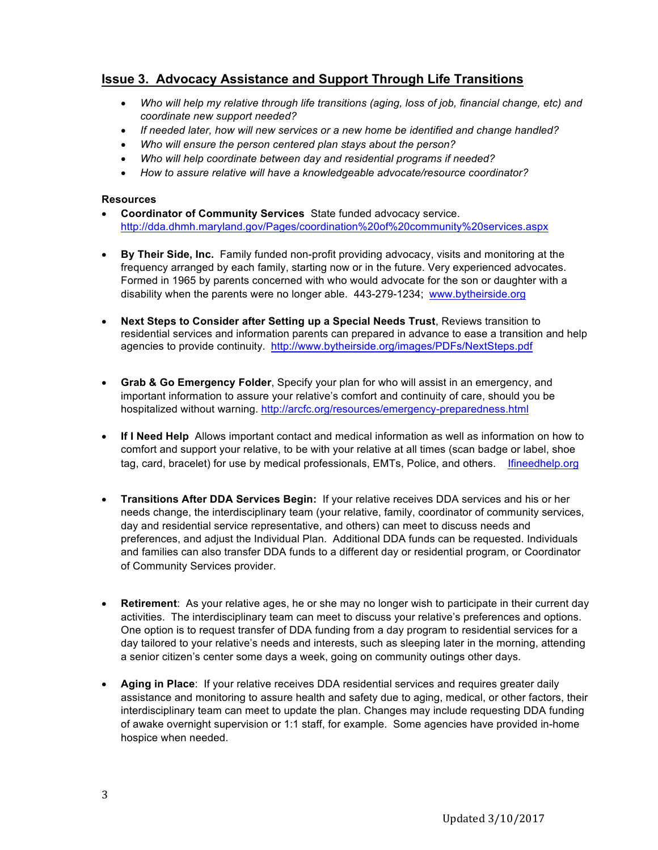# **Issue 3. Advocacy Assistance and Support Through Life Transitions**

- *Who will help my relative through life transitions (aging, loss of job, financial change, etc) and coordinate new support needed?*
- *If needed later, how will new services or a new home be identified and change handled?*
- *Who will ensure the person centered plan stays about the person?*
- *Who will help coordinate between day and residential programs if needed?*
- *How to assure relative will have a knowledgeable advocate/resource coordinator?*

#### **Resources**

- **Coordinator of Community Services** State funded advocacy service. http://dda.dhmh.maryland.gov/Pages/coordination%20of%20community%20services.aspx
- **By Their Side, Inc.** Family funded non-profit providing advocacy, visits and monitoring at the frequency arranged by each family, starting now or in the future. Very experienced advocates. Formed in 1965 by parents concerned with who would advocate for the son or daughter with a disability when the parents were no longer able. 443-279-1234; www.bytheirside.org
- **Next Steps to Consider after Setting up a Special Needs Trust**, Reviews transition to residential services and information parents can prepared in advance to ease a transition and help agencies to provide continuity. http://www.bytheirside.org/images/PDFs/NextSteps.pdf
- **Grab & Go Emergency Folder**, Specify your plan for who will assist in an emergency, and important information to assure your relative's comfort and continuity of care, should you be hospitalized without warning. http://arcfc.org/resources/emergency-preparedness.html
- **If I Need Help** Allows important contact and medical information as well as information on how to comfort and support your relative, to be with your relative at all times (scan badge or label, shoe tag, card, bracelet) for use by medical professionals, EMTs, Police, and others. Ifineedhelp.org
- **Transitions After DDA Services Begin:** If your relative receives DDA services and his or her needs change, the interdisciplinary team (your relative, family, coordinator of community services, day and residential service representative, and others) can meet to discuss needs and preferences, and adjust the Individual Plan. Additional DDA funds can be requested. Individuals and families can also transfer DDA funds to a different day or residential program, or Coordinator of Community Services provider.
- **Retirement**: As your relative ages, he or she may no longer wish to participate in their current day activities. The interdisciplinary team can meet to discuss your relative's preferences and options. One option is to request transfer of DDA funding from a day program to residential services for a day tailored to your relative's needs and interests, such as sleeping later in the morning, attending a senior citizen's center some days a week, going on community outings other days.
- **Aging in Place**: If your relative receives DDA residential services and requires greater daily assistance and monitoring to assure health and safety due to aging, medical, or other factors, their interdisciplinary team can meet to update the plan. Changes may include requesting DDA funding of awake overnight supervision or 1:1 staff, for example. Some agencies have provided in-home hospice when needed.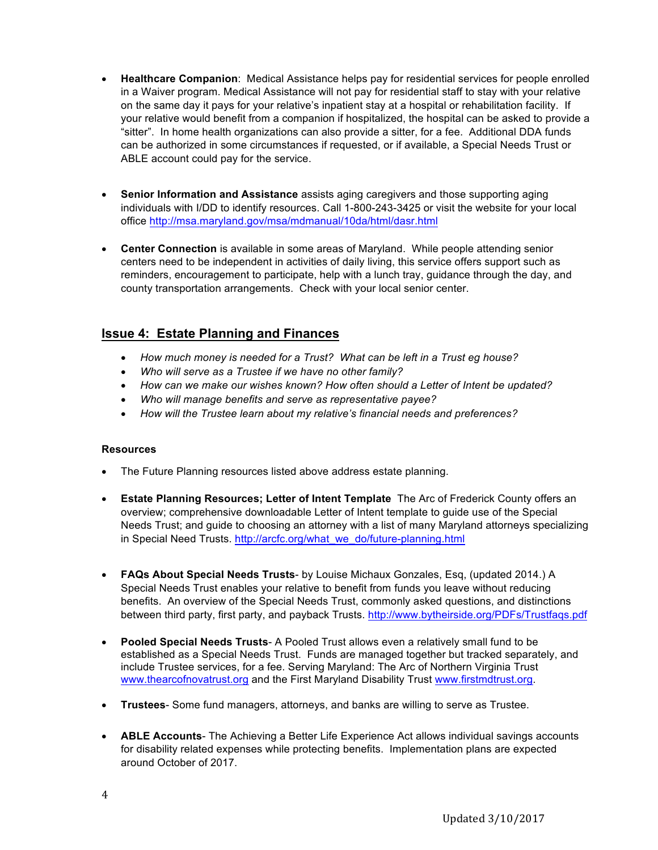- **Healthcare Companion**: Medical Assistance helps pay for residential services for people enrolled in a Waiver program. Medical Assistance will not pay for residential staff to stay with your relative on the same day it pays for your relative's inpatient stay at a hospital or rehabilitation facility. If your relative would benefit from a companion if hospitalized, the hospital can be asked to provide a "sitter". In home health organizations can also provide a sitter, for a fee. Additional DDA funds can be authorized in some circumstances if requested, or if available, a Special Needs Trust or ABLE account could pay for the service.
- **Senior Information and Assistance** assists aging caregivers and those supporting aging individuals with I/DD to identify resources. Call 1-800-243-3425 or visit the website for your local office http://msa.maryland.gov/msa/mdmanual/10da/html/dasr.html
- **Center Connection** is available in some areas of Maryland. While people attending senior centers need to be independent in activities of daily living, this service offers support such as reminders, encouragement to participate, help with a lunch tray, guidance through the day, and county transportation arrangements. Check with your local senior center.

# **Issue 4: Estate Planning and Finances**

- *How much money is needed for a Trust? What can be left in a Trust eg house?*
- *Who will serve as a Trustee if we have no other family?*
- *How can we make our wishes known? How often should a Letter of Intent be updated?*
- *Who will manage benefits and serve as representative payee?*
- *How will the Trustee learn about my relative's financial needs and preferences?*

#### **Resources**

- The Future Planning resources listed above address estate planning.
- **Estate Planning Resources; Letter of Intent Template** The Arc of Frederick County offers an overview; comprehensive downloadable Letter of Intent template to guide use of the Special Needs Trust; and guide to choosing an attorney with a list of many Maryland attorneys specializing in Special Need Trusts. http://arcfc.org/what\_we\_do/future-planning.html
- **FAQs About Special Needs Trusts** by Louise Michaux Gonzales, Esq, (updated 2014.) A Special Needs Trust enables your relative to benefit from funds you leave without reducing benefits. An overview of the Special Needs Trust, commonly asked questions, and distinctions between third party, first party, and payback Trusts. http://www.bytheirside.org/PDFs/Trustfaqs.pdf
- **Pooled Special Needs Trusts** A Pooled Trust allows even a relatively small fund to be established as a Special Needs Trust. Funds are managed together but tracked separately, and include Trustee services, for a fee. Serving Maryland: The Arc of Northern Virginia Trust www.thearcofnovatrust.org and the First Maryland Disability Trust www.firstmdtrust.org.
- **Trustees** Some fund managers, attorneys, and banks are willing to serve as Trustee.
- **ABLE Accounts** The Achieving a Better Life Experience Act allows individual savings accounts for disability related expenses while protecting benefits. Implementation plans are expected around October of 2017.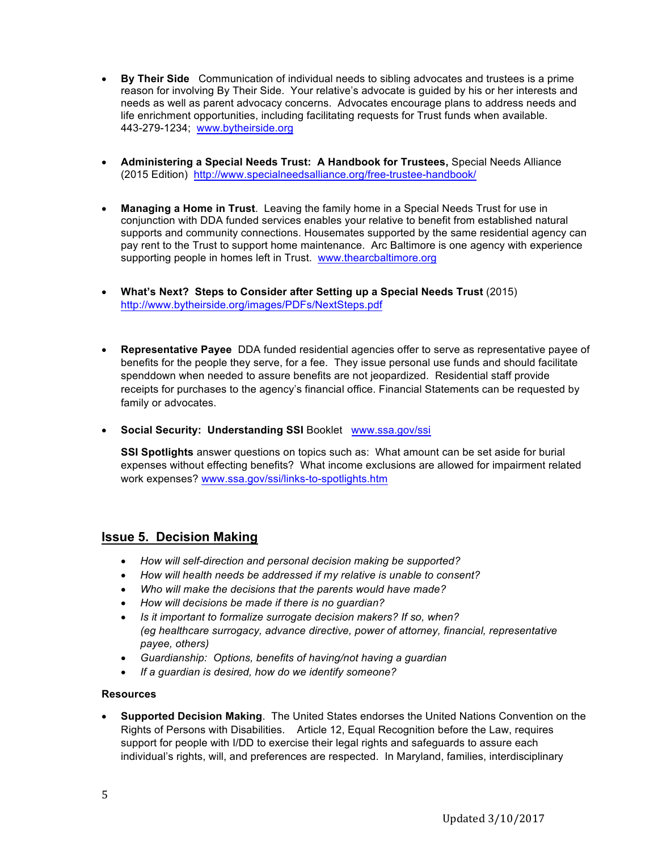- **By Their Side** Communication of individual needs to sibling advocates and trustees is a prime reason for involving By Their Side. Your relative's advocate is guided by his or her interests and needs as well as parent advocacy concerns. Advocates encourage plans to address needs and life enrichment opportunities, including facilitating requests for Trust funds when available. 443-279-1234; www.bytheirside.org
- **Administering a Special Needs Trust: A Handbook for Trustees,** Special Needs Alliance (2015 Edition) http://www.specialneedsalliance.org/free-trustee-handbook/
- **Managing a Home in Trust**. Leaving the family home in a Special Needs Trust for use in conjunction with DDA funded services enables your relative to benefit from established natural supports and community connections. Housemates supported by the same residential agency can pay rent to the Trust to support home maintenance. Arc Baltimore is one agency with experience supporting people in homes left in Trust. www.thearcbaltimore.org
- **What's Next? Steps to Consider after Setting up a Special Needs Trust** (2015) http://www.bytheirside.org/images/PDFs/NextSteps.pdf
- **Representative Payee** DDA funded residential agencies offer to serve as representative payee of benefits for the people they serve, for a fee. They issue personal use funds and should facilitate spenddown when needed to assure benefits are not jeopardized. Residential staff provide receipts for purchases to the agency's financial office. Financial Statements can be requested by family or advocates.
- **Social Security: Understanding SSI** Booklet www.ssa.gov/ssi

**SSI Spotlights** answer questions on topics such as: What amount can be set aside for burial expenses without effecting benefits? What income exclusions are allowed for impairment related work expenses? www.ssa.gov/ssi/links-to-spotlights.htm

#### **Issue 5. Decision Making**

- *How will self-direction and personal decision making be supported?*
- *How will health needs be addressed if my relative is unable to consent?*
- *Who will make the decisions that the parents would have made?*
- *How will decisions be made if there is no guardian?*
- *Is it important to formalize surrogate decision makers? If so, when? (eg healthcare surrogacy, advance directive, power of attorney, financial, representative payee, others)*
- *Guardianship: Options, benefits of having/not having a guardian*
- *If a guardian is desired, how do we identify someone?*

#### **Resources**

• **Supported Decision Making**. The United States endorses the United Nations Convention on the Rights of Persons with Disabilities. Article 12, Equal Recognition before the Law, requires support for people with I/DD to exercise their legal rights and safeguards to assure each individual's rights, will, and preferences are respected. In Maryland, families, interdisciplinary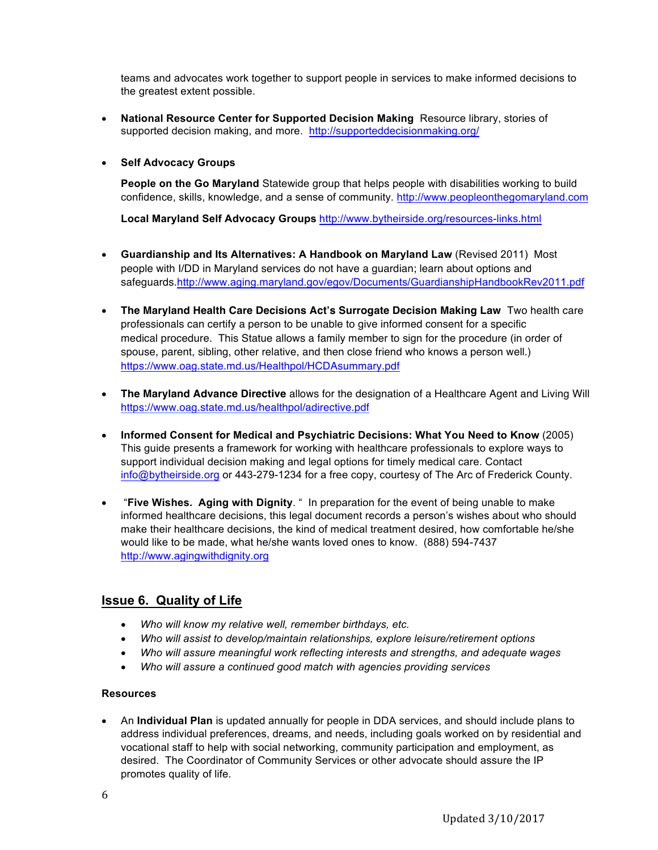teams and advocates work together to support people in services to make informed decisions to the greatest extent possible.

- **National Resource Center for Supported Decision Making** Resource library, stories of supported decision making, and more. http://supporteddecisionmaking.org/
- **Self Advocacy Groups**

**People on the Go Maryland** Statewide group that helps people with disabilities working to build confidence, skills, knowledge, and a sense of community. http://www.peopleonthegomaryland.com

**Local Maryland Self Advocacy Groups** http://www.bytheirside.org/resources-links.html

- **Guardianship and Its Alternatives: A Handbook on Maryland Law** (Revised 2011) Most people with I/DD in Maryland services do not have a guardian; learn about options and safeguards.http://www.aging.maryland.gov/egov/Documents/GuardianshipHandbookRev2011.pdf
- **The Maryland Health Care Decisions Act's Surrogate Decision Making Law** Two health care professionals can certify a person to be unable to give informed consent for a specific medical procedure. This Statue allows a family member to sign for the procedure (in order of spouse, parent, sibling, other relative, and then close friend who knows a person well.) https://www.oag.state.md.us/Healthpol/HCDAsummary.pdf
- **The Maryland Advance Directive** allows for the designation of a Healthcare Agent and Living Will https://www.oag.state.md.us/healthpol/adirective.pdf
- **Informed Consent for Medical and Psychiatric Decisions: What You Need to Know** (2005) This guide presents a framework for working with healthcare professionals to explore ways to support individual decision making and legal options for timely medical care. Contact info@bytheirside.org or 443-279-1234 for a free copy, courtesy of The Arc of Frederick County.
- "**Five Wishes. Aging with Dignity**. " In preparation for the event of being unable to make informed healthcare decisions, this legal document records a person's wishes about who should make their healthcare decisions, the kind of medical treatment desired, how comfortable he/she would like to be made, what he/she wants loved ones to know. (888) 594-7437 http://www.agingwithdignity.org

# **Issue 6. Quality of Life**

- *Who will know my relative well, remember birthdays, etc.*
- *Who will assist to develop/maintain relationships, explore leisure/retirement options*
- *Who will assure meaningful work reflecting interests and strengths, and adequate wages*
- *Who will assure a continued good match with agencies providing services*

#### **Resources**

• An **Individual Plan** is updated annually for people in DDA services, and should include plans to address individual preferences, dreams, and needs, including goals worked on by residential and vocational staff to help with social networking, community participation and employment, as desired. The Coordinator of Community Services or other advocate should assure the IP promotes quality of life.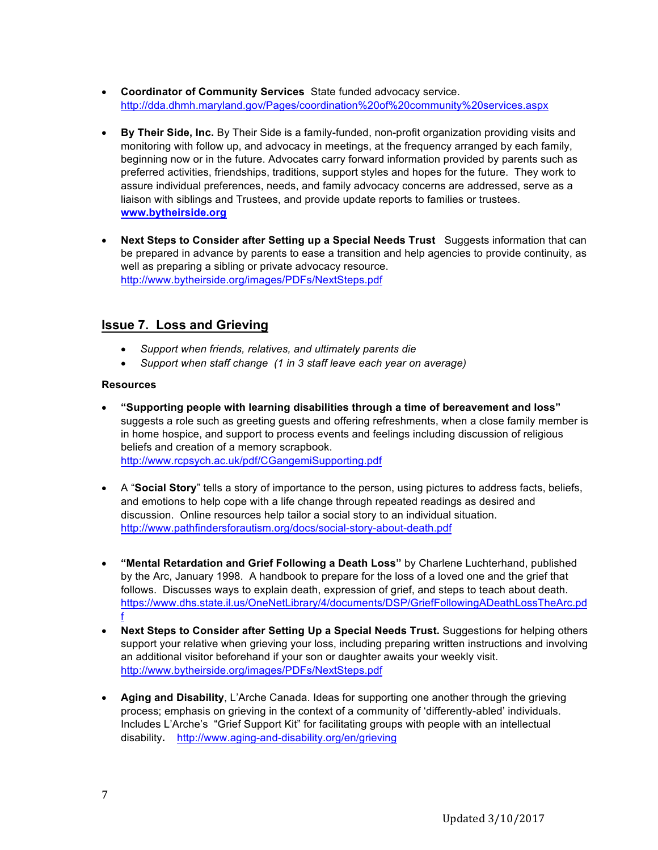- **Coordinator of Community Services** State funded advocacy service. http://dda.dhmh.maryland.gov/Pages/coordination%20of%20community%20services.aspx
- **By Their Side, Inc.** By Their Side is a family-funded, non-profit organization providing visits and monitoring with follow up, and advocacy in meetings, at the frequency arranged by each family, beginning now or in the future. Advocates carry forward information provided by parents such as preferred activities, friendships, traditions, support styles and hopes for the future. They work to assure individual preferences, needs, and family advocacy concerns are addressed, serve as a liaison with siblings and Trustees, and provide update reports to families or trustees. **www.bytheirside.org**
- **Next Steps to Consider after Setting up a Special Needs Trust** Suggests information that can be prepared in advance by parents to ease a transition and help agencies to provide continuity, as well as preparing a sibling or private advocacy resource. http://www.bytheirside.org/images/PDFs/NextSteps.pdf

### **Issue 7. Loss and Grieving**

- *Support when friends, relatives, and ultimately parents die*
- *Support when staff change (1 in 3 staff leave each year on average)*

#### **Resources**

- **"Supporting people with learning disabilities through a time of bereavement and loss"** suggests a role such as greeting guests and offering refreshments, when a close family member is in home hospice, and support to process events and feelings including discussion of religious beliefs and creation of a memory scrapbook. http://www.rcpsych.ac.uk/pdf/CGangemiSupporting.pdf
- A "**Social Story**" tells a story of importance to the person, using pictures to address facts, beliefs, and emotions to help cope with a life change through repeated readings as desired and discussion. Online resources help tailor a social story to an individual situation. http://www.pathfindersforautism.org/docs/social-story-about-death.pdf
- **"Mental Retardation and Grief Following a Death Loss"** by Charlene Luchterhand, published by the Arc, January 1998. A handbook to prepare for the loss of a loved one and the grief that follows. Discusses ways to explain death, expression of grief, and steps to teach about death. https://www.dhs.state.il.us/OneNetLibrary/4/documents/DSP/GriefFollowingADeathLossTheArc.pd f
- **Next Steps to Consider after Setting Up a Special Needs Trust.** Suggestions for helping others support your relative when grieving your loss, including preparing written instructions and involving an additional visitor beforehand if your son or daughter awaits your weekly visit. http://www.bytheirside.org/images/PDFs/NextSteps.pdf
- **Aging and Disability**, L'Arche Canada. Ideas for supporting one another through the grieving process; emphasis on grieving in the context of a community of 'differently-abled' individuals. Includes L'Arche's "Grief Support Kit" for facilitating groups with people with an intellectual disability**.** http://www.aging-and-disability.org/en/grieving